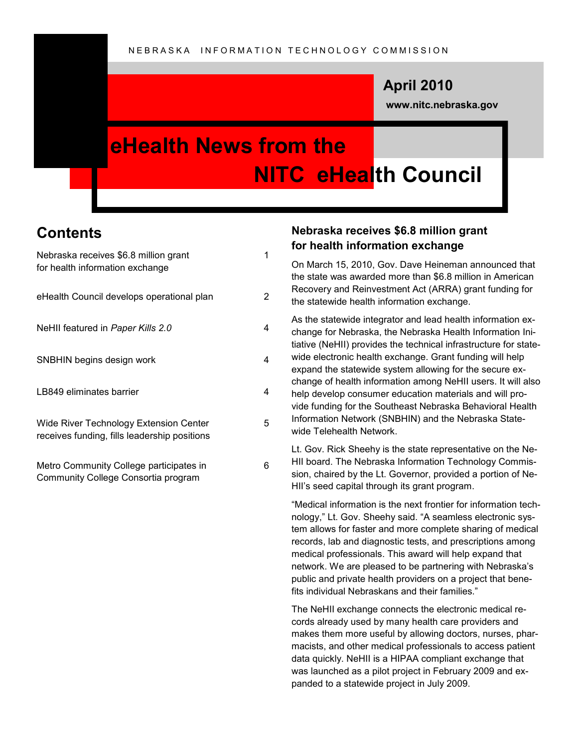### **April 2010**

**www.nitc.nebraska.gov**

### **eHealth News from the NITC eHealth Council**

### **Contents**

| Nebraska receives \$6.8 million grant<br>for health information exchange               | 1 |
|----------------------------------------------------------------------------------------|---|
| eHealth Council develops operational plan                                              | 2 |
| NeHII featured in Paper Kills 2.0                                                      | 4 |
| SNBHIN begins design work                                                              | 4 |
| LB849 eliminates barrier                                                               | 4 |
| Wide River Technology Extension Center<br>receives funding, fills leadership positions | 5 |
| Metro Community College participates in<br>Community College Consortia program         | 6 |

#### **Nebraska receives \$6.8 million grant for health information exchange**

On March 15, 2010, Gov. Dave Heineman announced that the state was awarded more than \$6.8 million in American Recovery and Reinvestment Act (ARRA) grant funding for the statewide health information exchange.

As the statewide integrator and lead health information exchange for Nebraska, the Nebraska Health Information Initiative (NeHII) provides the technical infrastructure for statewide electronic health exchange. Grant funding will help expand the statewide system allowing for the secure exchange of health information among NeHII users. It will also help develop consumer education materials and will provide funding for the Southeast Nebraska Behavioral Health Information Network (SNBHIN) and the Nebraska Statewide Telehealth Network.

Lt. Gov. Rick Sheehy is the state representative on the Ne-HII board. The Nebraska Information Technology Commission, chaired by the Lt. Governor, provided a portion of Ne-HII's seed capital through its grant program.

"Medical information is the next frontier for information technology," Lt. Gov. Sheehy said. "A seamless electronic system allows for faster and more complete sharing of medical records, lab and diagnostic tests, and prescriptions among medical professionals. This award will help expand that network. We are pleased to be partnering with Nebraska's public and private health providers on a project that benefits individual Nebraskans and their families."

The NeHII exchange connects the electronic medical records already used by many health care providers and makes them more useful by allowing doctors, nurses, pharmacists, and other medical professionals to access patient data quickly. NeHII is a HIPAA compliant exchange that was launched as a pilot project in February 2009 and expanded to a statewide project in July 2009.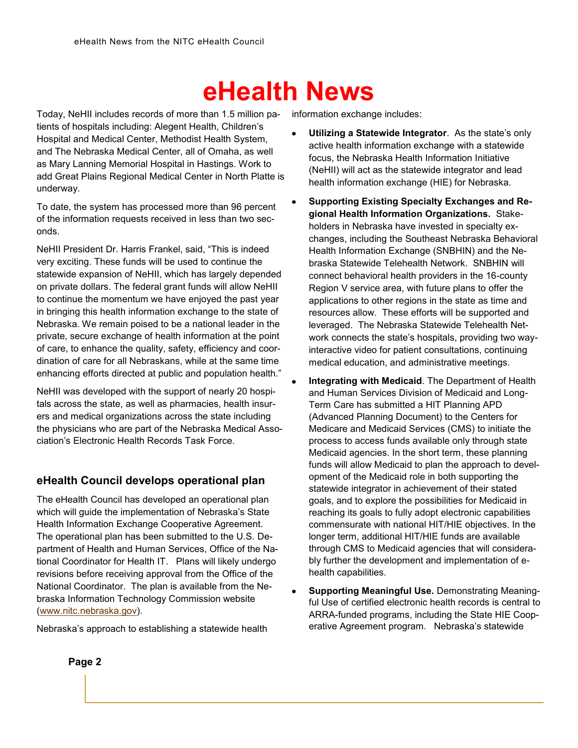Today, NeHII includes records of more than 1.5 million patients of hospitals including: Alegent Health, Children's Hospital and Medical Center, Methodist Health System, and The Nebraska Medical Center, all of Omaha, as well as Mary Lanning Memorial Hospital in Hastings. Work to add Great Plains Regional Medical Center in North Platte is underway.

To date, the system has processed more than 96 percent of the information requests received in less than two seconds.

NeHII President Dr. Harris Frankel, said, "This is indeed very exciting. These funds will be used to continue the statewide expansion of NeHII, which has largely depended on private dollars. The federal grant funds will allow NeHII to continue the momentum we have enjoyed the past year in bringing this health information exchange to the state of Nebraska. We remain poised to be a national leader in the private, secure exchange of health information at the point of care, to enhance the quality, safety, efficiency and coordination of care for all Nebraskans, while at the same time enhancing efforts directed at public and population health."

NeHII was developed with the support of nearly 20 hospitals across the state, as well as pharmacies, health insurers and medical organizations across the state including the physicians who are part of the Nebraska Medical Association's Electronic Health Records Task Force.

#### **eHealth Council develops operational plan**

The eHealth Council has developed an operational plan which will guide the implementation of Nebraska's State Health Information Exchange Cooperative Agreement. The operational plan has been submitted to the U.S. Department of Health and Human Services, Office of the National Coordinator for Health IT. Plans will likely undergo revisions before receiving approval from the Office of the National Coordinator. The plan is available from the Nebraska Information Technology Commission website [\(www.nitc.nebraska.gov\)](http://www.nitc.nebraska.gov).

Nebraska's approach to establishing a statewide health

information exchange includes:

- **Utilizing a Statewide Integrator**. As the state's only active health information exchange with a statewide focus, the Nebraska Health Information Initiative (NeHII) will act as the statewide integrator and lead health information exchange (HIE) for Nebraska.
- **Supporting Existing Specialty Exchanges and Regional Health Information Organizations.** Stakeholders in Nebraska have invested in specialty exchanges, including the Southeast Nebraska Behavioral Health Information Exchange (SNBHIN) and the Nebraska Statewide Telehealth Network. SNBHIN will connect behavioral health providers in the 16-county Region V service area, with future plans to offer the applications to other regions in the state as time and resources allow. These efforts will be supported and leveraged. The Nebraska Statewide Telehealth Network connects the state's hospitals, providing two wayinteractive video for patient consultations, continuing medical education, and administrative meetings.
- **Integrating with Medicaid**. The Department of Health and Human Services Division of Medicaid and Long-Term Care has submitted a HIT Planning APD (Advanced Planning Document) to the Centers for Medicare and Medicaid Services (CMS) to initiate the process to access funds available only through state Medicaid agencies. In the short term, these planning funds will allow Medicaid to plan the approach to development of the Medicaid role in both supporting the statewide integrator in achievement of their stated goals, and to explore the possibilities for Medicaid in reaching its goals to fully adopt electronic capabilities commensurate with national HIT/HIE objectives. In the longer term, additional HIT/HIE funds are available through CMS to Medicaid agencies that will considerably further the development and implementation of ehealth capabilities.
- **Supporting Meaningful Use.** Demonstrating Meaningful Use of certified electronic health records is central to ARRA-funded programs, including the State HIE Cooperative Agreement program. Nebraska's statewide

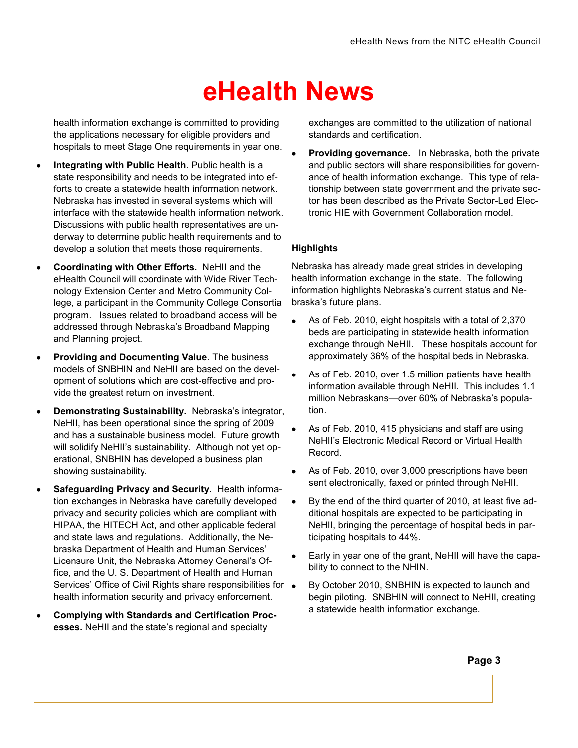health information exchange is committed to providing the applications necessary for eligible providers and hospitals to meet Stage One requirements in year one.

- **Integrating with Public Health**. Public health is a state responsibility and needs to be integrated into efforts to create a statewide health information network. Nebraska has invested in several systems which will interface with the statewide health information network. Discussions with public health representatives are underway to determine public health requirements and to develop a solution that meets those requirements.
- **Coordinating with Other Efforts.** NeHII and the eHealth Council will coordinate with Wide River Technology Extension Center and Metro Community College, a participant in the Community College Consortia program. Issues related to broadband access will be addressed through Nebraska's Broadband Mapping and Planning project.
- **Providing and Documenting Value**. The business models of SNBHIN and NeHII are based on the development of solutions which are cost-effective and provide the greatest return on investment.
- **Demonstrating Sustainability.** Nebraska's integrator, NeHII, has been operational since the spring of 2009 and has a sustainable business model. Future growth will solidify NeHII's sustainability. Although not yet operational, SNBHIN has developed a business plan showing sustainability.
- **Safeguarding Privacy and Security.** Health information exchanges in Nebraska have carefully developed privacy and security policies which are compliant with HIPAA, the HITECH Act, and other applicable federal and state laws and regulations. Additionally, the Nebraska Department of Health and Human Services' Licensure Unit, the Nebraska Attorney General's Office, and the U. S. Department of Health and Human Services' Office of Civil Rights share responsibilities for  $\bullet$ health information security and privacy enforcement.
- **Complying with Standards and Certification Processes.** NeHII and the state's regional and specialty

exchanges are committed to the utilization of national standards and certification.

**Providing governance.** In Nebraska, both the private and public sectors will share responsibilities for governance of health information exchange. This type of relationship between state government and the private sector has been described as the Private Sector-Led Electronic HIE with Government Collaboration model.

#### **Highlights**

Nebraska has already made great strides in developing health information exchange in the state. The following information highlights Nebraska's current status and Nebraska's future plans.

- As of Feb. 2010, eight hospitals with a total of 2,370 beds are participating in statewide health information exchange through NeHII. These hospitals account for approximately 36% of the hospital beds in Nebraska.
- As of Feb. 2010, over 1.5 million patients have health information available through NeHII. This includes 1.1 million Nebraskans—over 60% of Nebraska's population.
- As of Feb. 2010, 415 physicians and staff are using NeHII's Electronic Medical Record or Virtual Health Record.
- As of Feb. 2010, over 3,000 prescriptions have been sent electronically, faxed or printed through NeHII.
- By the end of the third quarter of 2010, at least five additional hospitals are expected to be participating in NeHII, bringing the percentage of hospital beds in participating hospitals to 44%.
- Early in year one of the grant, NeHII will have the capability to connect to the NHIN.
- By October 2010, SNBHIN is expected to launch and begin piloting. SNBHIN will connect to NeHII, creating a statewide health information exchange.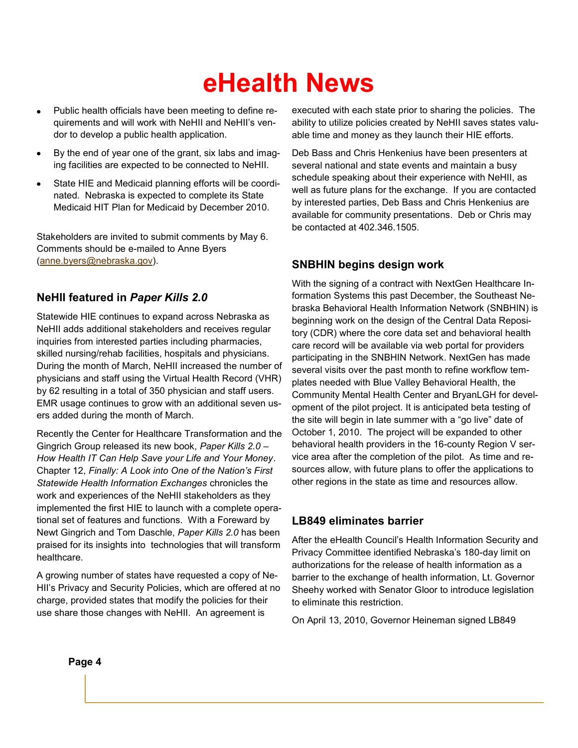- Public health officials have been meeting to define re- $\bullet$ quirements and will work with NeHII and NeHII's vendor to develop a public health application.
- By the end of year one of the grant, six labs and imaging facilities are expected to be connected to NeHII.
- State HIE and Medicaid planning efforts will be coordinated. Nebraska is expected to complete its State Medicaid HIT Plan for Medicaid by December 2010.

Stakeholders are invited to submit comments by May 6. Comments should be e-mailed to Anne Byers [\(anne.byers@nebraska.gov\)](mailto:anne.byers@nebraska.gov).

#### **NeHII featured in** *Paper Kills 2.0*

Statewide HIE continues to expand across Nebraska as NeHII adds additional stakeholders and receives regular inquiries from interested parties including pharmacies, skilled nursing/rehab facilities, hospitals and physicians. During the month of March, NeHII increased the number of physicians and staff using the Virtual Health Record (VHR) by 62 resulting in a total of 350 physician and staff users. EMR usage continues to grow with an additional seven users added during the month of March.

Recently the Center for Healthcare Transformation and the Gingrich Group released its new book, *Paper Kills 2.0 – How Health IT Can Help Save your Life and Your Money*. Chapter 12, *Finally: A Look into One of the Nation's First Statewide Health Information Exchanges* chronicles the work and experiences of the NeHII stakeholders as they implemented the first HIE to launch with a complete operational set of features and functions. With a Foreward by Newt Gingrich and Tom Daschle, *Paper Kills 2.0* has been praised for its insights into technologies that will transform healthcare.

A growing number of states have requested a copy of Ne-HII's Privacy and Security Policies, which are offered at no charge, provided states that modify the policies for their use share those changes with NeHII. An agreement is

executed with each state prior to sharing the policies. The ability to utilize policies created by NeHII saves states valuable time and money as they launch their HIE efforts.

Deb Bass and Chris Henkenius have been presenters at several national and state events and maintain a busy schedule speaking about their experience with NeHII, as well as future plans for the exchange. If you are contacted by interested parties, Deb Bass and Chris Henkenius are available for community presentations. Deb or Chris may be contacted at 402.346.1505.

#### **SNBHIN begins design work**

With the signing of a contract with NextGen Healthcare Information Systems this past December, the Southeast Nebraska Behavioral Health Information Network (SNBHIN) is beginning work on the design of the Central Data Repository (CDR) where the core data set and behavioral health care record will be available via web portal for providers participating in the SNBHIN Network. NextGen has made several visits over the past month to refine workflow templates needed with Blue Valley Behavioral Health, the Community Mental Health Center and BryanLGH for development of the pilot project. It is anticipated beta testing of the site will begin in late summer with a "go live" date of October 1, 2010. The project will be expanded to other behavioral health providers in the 16-county Region V service area after the completion of the pilot. As time and resources allow, with future plans to offer the applications to other regions in the state as time and resources allow.

#### **LB849 eliminates barrier**

After the eHealth Council's Health Information Security and Privacy Committee identified Nebraska's 180-day limit on authorizations for the release of health information as a barrier to the exchange of health information, Lt. Governor Sheehy worked with Senator Gloor to introduce legislation to eliminate this restriction.

On April 13, 2010, Governor Heineman signed LB849

**Page 4**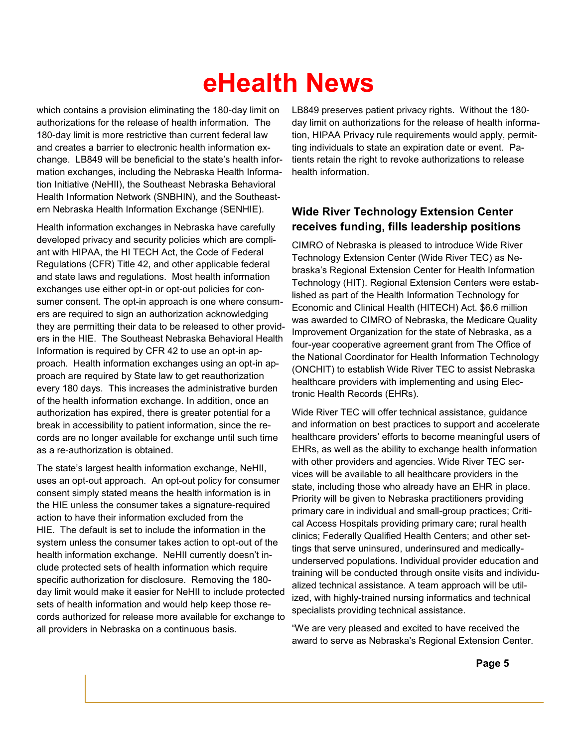which contains a provision eliminating the 180-day limit on authorizations for the release of health information. The 180-day limit is more restrictive than current federal law and creates a barrier to electronic health information exchange. LB849 will be beneficial to the state's health information exchanges, including the Nebraska Health Information Initiative (NeHII), the Southeast Nebraska Behavioral Health Information Network (SNBHIN), and the Southeastern Nebraska Health Information Exchange (SENHIE).

Health information exchanges in Nebraska have carefully developed privacy and security policies which are compliant with HIPAA, the HI TECH Act, the Code of Federal Regulations (CFR) Title 42, and other applicable federal and state laws and regulations. Most health information exchanges use either opt-in or opt-out policies for consumer consent. The opt-in approach is one where consumers are required to sign an authorization acknowledging they are permitting their data to be released to other providers in the HIE. The Southeast Nebraska Behavioral Health Information is required by CFR 42 to use an opt-in approach. Health information exchanges using an opt-in approach are required by State law to get reauthorization every 180 days. This increases the administrative burden of the health information exchange. In addition, once an authorization has expired, there is greater potential for a break in accessibility to patient information, since the records are no longer available for exchange until such time as a re-authorization is obtained.

The state's largest health information exchange, NeHII, uses an opt-out approach. An opt-out policy for consumer consent simply stated means the health information is in the HIE unless the consumer takes a signature-required action to have their information excluded from the HIE. The default is set to include the information in the system unless the consumer takes action to opt-out of the health information exchange. NeHII currently doesn't include protected sets of health information which require specific authorization for disclosure. Removing the 180 day limit would make it easier for NeHII to include protected sets of health information and would help keep those records authorized for release more available for exchange to all providers in Nebraska on a continuous basis.

LB849 preserves patient privacy rights. Without the 180 day limit on authorizations for the release of health information, HIPAA Privacy rule requirements would apply, permitting individuals to state an expiration date or event. Patients retain the right to revoke authorizations to release health information.

#### **Wide River Technology Extension Center receives funding, fills leadership positions**

CIMRO of Nebraska is pleased to introduce Wide River Technology Extension Center (Wide River TEC) as Nebraska's Regional Extension Center for Health Information Technology (HIT). Regional Extension Centers were established as part of the Health Information Technology for Economic and Clinical Health (HITECH) Act. \$6.6 million was awarded to CIMRO of Nebraska, the Medicare Quality Improvement Organization for the state of Nebraska, as a four-year cooperative agreement grant from The Office of the National Coordinator for Health Information Technology (ONCHIT) to establish Wide River TEC to assist Nebraska healthcare providers with implementing and using Electronic Health Records (EHRs).

Wide River TEC will offer technical assistance, guidance and information on best practices to support and accelerate healthcare providers' efforts to become meaningful users of EHRs, as well as the ability to exchange health information with other providers and agencies. Wide River TEC services will be available to all healthcare providers in the state, including those who already have an EHR in place. Priority will be given to Nebraska practitioners providing primary care in individual and small-group practices; Critical Access Hospitals providing primary care; rural health clinics; Federally Qualified Health Centers; and other settings that serve uninsured, underinsured and medicallyunderserved populations. Individual provider education and training will be conducted through onsite visits and individualized technical assistance. A team approach will be utilized, with highly-trained nursing informatics and technical specialists providing technical assistance.

"We are very pleased and excited to have received the award to serve as Nebraska's Regional Extension Center.